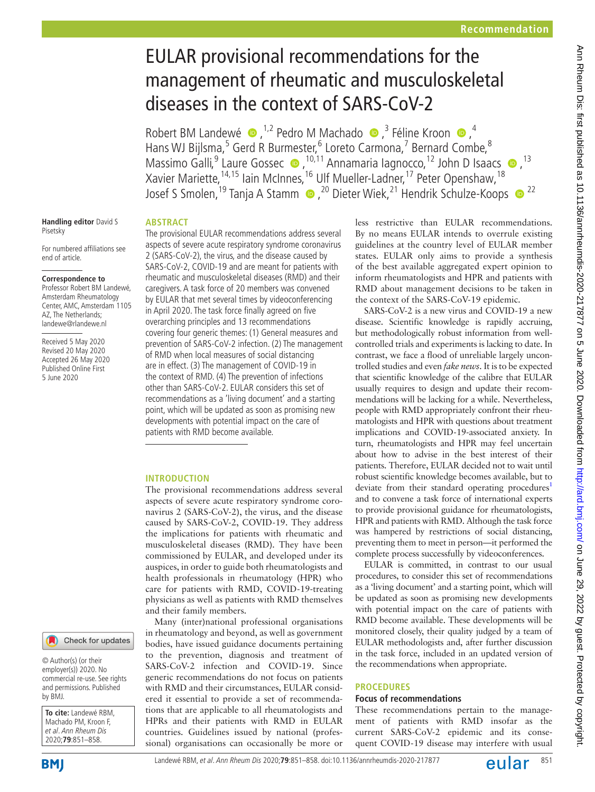# EULAR provisional recommendations for the management of rheumatic and musculoskeletal diseases in the context of SARS-CoV-2

RobertBM Landewé  $\bullet$ , <sup>1,2</sup> Pedro M Machado  $\bullet$ , <sup>3</sup> Féline Kroon  $\bullet$ , <sup>4</sup> Hans WJ Bijlsma,<sup>5</sup> Gerd R Burmester,<sup>6</sup> Loreto Carmona,<sup>7</sup> Bernard Combe,<sup>8</sup> MassimoGalli,<sup>9</sup> Laure Gossec (D, <sup>10,11</sup> Annamaria Iagnocco, <sup>12</sup> John D Isaacs (D, <sup>13</sup>) Xavier Mariette, <sup>14,15</sup> Iain McInnes, <sup>16</sup> Ulf Mueller-Ladner, <sup>17</sup> Peter Openshaw, <sup>18</sup> Josef S Smolen,<sup>19</sup> Tanja A Stamm (D, <sup>20</sup> Dieter Wiek,<sup>21</sup> Hendrik Schulze-Koops (D<sup>22</sup>

#### **Handling editor** David S Pisetsky

For numbered affiliations see end of article.

## **Correspondence to**

Professor Robert BM Landewé, Amsterdam Rheumatology Center, AMC, Amsterdam 1105 AZ, The Netherlands; landewe@rlandewe.nl

Received 5 May 2020 Revised 20 May 2020 Accepted 26 May 2020 Published Online First 5 June 2020

# **Abstract**

The provisional EULAR recommendations address several aspects of severe acute respiratory syndrome coronavirus 2 (SARS-CoV-2), the virus, and the disease caused by SARS-CoV-2, COVID-19 and are meant for patients with rheumatic and musculoskeletal diseases (RMD) and their caregivers. A task force of 20 members was convened by EULAR that met several times by videoconferencing in April 2020. The task force finally agreed on five overarching principles and 13 recommendations covering four generic themes: (1) General measures and prevention of SARS-CoV-2 infection. (2) The management of RMD when local measures of social distancing are in effect. (3) The management of COVID-19 in the context of RMD. (4) The prevention of infections other than SARS-CoV-2. EULAR considers this set of recommendations as a 'living document' and a starting point, which will be updated as soon as promising new developments with potential impact on the care of patients with RMD become available.

## **Introduction**

The provisional recommendations address several aspects of severe acute respiratory syndrome coronavirus 2 (SARS-CoV-2), the virus, and the disease caused by SARS-CoV-2, COVID-19. They address the implications for patients with rheumatic and musculoskeletal diseases (RMD). They have been commissioned by EULAR, and developed under its auspices, in order to guide both rheumatologists and health professionals in rheumatology (HPR) who care for patients with RMD, COVID-19-treating physicians as well as patients with RMD themselves and their family members.

Many (inter)national professional organisations in rheumatology and beyond, as well as government bodies, have issued guidance documents pertaining to the prevention, diagnosis and treatment of SARS-CoV-2 infection and COVID-19. Since generic recommendations do not focus on patients with RMD and their circumstances, EULAR considered it essential to provide a set of recommendations that are applicable to all rheumatologists and HPRs and their patients with RMD in EULAR countries. Guidelines issued by national (professional) organisations can occasionally be more or

less restrictive than EULAR recommendations. By no means EULAR intends to overrule existing guidelines at the country level of EULAR member states. EULAR only aims to provide a synthesis of the best available aggregated expert opinion to inform rheumatologists and HPR and patients with RMD about management decisions to be taken in the context of the SARS-CoV-19 epidemic.

SARS-CoV-2 is a new virus and COVID-19 a new disease. Scientific knowledge is rapidly accruing, but methodologically robust information from wellcontrolled trials and experiments is lacking to date. In contrast, we face a flood of unreliable largely uncontrolled studies and even *fake news*. It is to be expected that scientific knowledge of the calibre that EULAR usually requires to design and update their recommendations will be lacking for a while. Nevertheless, people with RMD appropriately confront their rheumatologists and HPR with questions about treatment implications and COVID-19-associated anxiety. In turn, rheumatologists and HPR may feel uncertain about how to advise in the best interest of their patients. Therefore, EULAR decided not to wait until robust scientific knowledge becomes available, but to deviate from their standard operating procedures<sup>1</sup> and to convene a task force of international experts to provide provisional guidance for rheumatologists, HPR and patients with RMD. Although the task force was hampered by restrictions of social distancing, preventing them to meet in person—it performed the complete process successfully by videoconferences.

EULAR is committed, in contrast to our usual procedures, to consider this set of recommendations as a 'living document' and a starting point, which will be updated as soon as promising new developments with potential impact on the care of patients with RMD become available. These developments will be monitored closely, their quality judged by a team of EULAR methodologists and, after further discussion in the task force, included in an updated version of the recommendations when appropriate.

## **Procedures**

## **Focus of recommendations**

These recommendations pertain to the management of patients with RMD insofar as the current SARS-CoV-2 epidemic and its consequent COVID-19 disease may interfere with usual

© Author(s) (or their employer(s)) 2020. No commercial re-use. See rights and permissions. Published by BMJ.

**To cite:** Landewé RBM, Machado PM, Kroon F, et al. Ann Rheum Dis 2020;**79**:851–858.

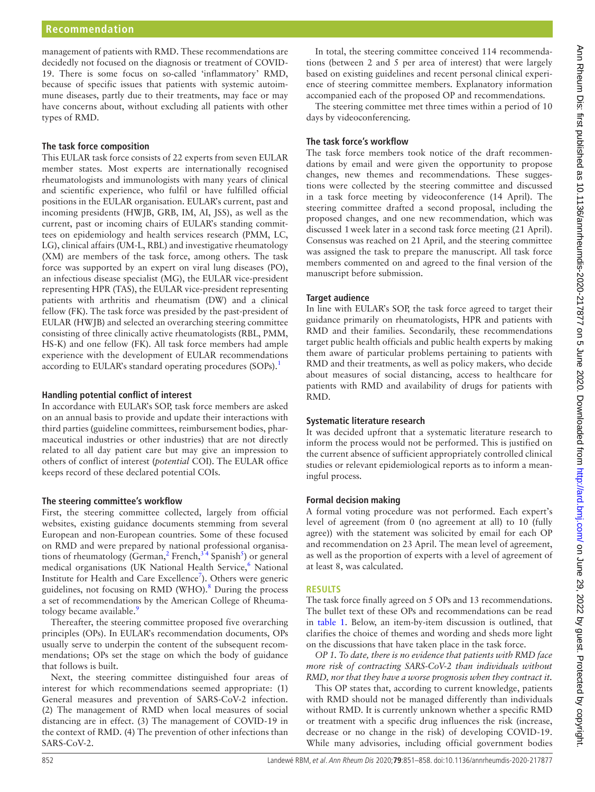management of patients with RMD. These recommendations are decidedly not focused on the diagnosis or treatment of COVID-19. There is some focus on so-called 'inflammatory' RMD, because of specific issues that patients with systemic autoimmune diseases, partly due to their treatments, may face or may have concerns about, without excluding all patients with other types of RMD.

#### **The task force composition**

This EULAR task force consists of 22 experts from seven EULAR member states. Most experts are internationally recognised rheumatologists and immunologists with many years of clinical and scientific experience, who fulfil or have fulfilled official positions in the EULAR organisation. EULAR's current, past and incoming presidents (HWJB, GRB, IM, AI, JSS), as well as the current, past or incoming chairs of EULAR's standing committees on epidemiology and health services research (PMM, LC, LG), clinical affairs (UM-L, RBL) and investigative rheumatology (XM) are members of the task force, among others. The task force was supported by an expert on viral lung diseases (PO), an infectious disease specialist (MG), the EULAR vice-president representing HPR (TAS), the EULAR vice-president representing patients with arthritis and rheumatism (DW) and a clinical fellow (FK). The task force was presided by the past-president of EULAR (HWJB) and selected an overarching steering committee consisting of three clinically active rheumatologists (RBL, PMM, HS-K) and one fellow (FK). All task force members had ample experience with the development of EULAR recommendations according to EULAR's standard operating procedures (SOPs).<sup>[1](#page-6-0)</sup>

#### **Handling potential conflict of interest**

In accordance with EULAR's SOP, task force members are asked on an annual basis to provide and update their interactions with third parties (guideline committees, reimbursement bodies, pharmaceutical industries or other industries) that are not directly related to all day patient care but may give an impression to others of conflict of interest (*potential* COI). The EULAR office keeps record of these declared potential COIs.

#### **The steering committee's workflow**

First, the steering committee collected, largely from official websites, existing guidance documents stemming from several European and non-European countries. Some of these focused on RMD and were prepared by national professional organisations of rheumatology (German,<sup>2</sup> French,<sup>34</sup> Spanish<sup>5</sup>) or general medical organisations (UK National Health Service,<sup>[6](#page-6-4)</sup> National Institute for Health and Care Excellence<sup>[7](#page-7-0)</sup>). Others were generic guidelines, not focusing on RMD (WHO).<sup>8</sup> During the process a set of recommendations by the American College of Rheumatology became available.<sup>9</sup>

Thereafter, the steering committee proposed five overarching principles (OPs). In EULAR's recommendation documents, OPs usually serve to underpin the content of the subsequent recommendations; OPs set the stage on which the body of guidance that follows is built.

Next, the steering committee distinguished four areas of interest for which recommendations seemed appropriate: (1) General measures and prevention of SARS-CoV-2 infection. (2) The management of RMD when local measures of social distancing are in effect. (3) The management of COVID-19 in the context of RMD. (4) The prevention of other infections than SARS-CoV-2.

In total, the steering committee conceived 114 recommendations (between 2 and 5 per area of interest) that were largely based on existing guidelines and recent personal clinical experience of steering committee members. Explanatory information accompanied each of the proposed OP and recommendations.

The steering committee met three times within a period of 10 days by videoconferencing.

#### **The task force's workflow**

The task force members took notice of the draft recommendations by email and were given the opportunity to propose changes, new themes and recommendations. These suggestions were collected by the steering committee and discussed in a task force meeting by videoconference (14 April). The steering committee drafted a second proposal, including the proposed changes, and one new recommendation, which was discussed 1week later in a second task force meeting (21 April). Consensus was reached on 21 April, and the steering committee was assigned the task to prepare the manuscript. All task force members commented on and agreed to the final version of the manuscript before submission.

## **Target audience**

In line with EULAR's SOP, the task force agreed to target their guidance primarily on rheumatologists, HPR and patients with RMD and their families. Secondarily, these recommendations target public health officials and public health experts by making them aware of particular problems pertaining to patients with RMD and their treatments, as well as policy makers, who decide about measures of social distancing, access to healthcare for patients with RMD and availability of drugs for patients with RMD.

#### **Systematic literature research**

It was decided upfront that a systematic literature research to inform the process would not be performed. This is justified on the current absence of sufficient appropriately controlled clinical studies or relevant epidemiological reports as to inform a meaningful process.

## **Formal decision making**

A formal voting procedure was not performed. Each expert's level of agreement (from 0 (no agreement at all) to 10 (fully agree)) with the statement was solicited by email for each OP and recommendation on 23 April. The mean level of agreement, as well as the proportion of experts with a level of agreement of at least 8, was calculated.

#### **Results**

The task force finally agreed on 5 OPs and 13 recommendations. The bullet text of these OPs and recommendations can be read in [table](#page-2-0) 1. Below, an item-by-item discussion is outlined, that clarifies the choice of themes and wording and sheds more light on the discussions that have taken place in the task force.

*OP 1. To date, there is no evidence that patients with RMD face more risk of contracting SARS-CoV-2 than individuals without RMD, nor that they have a worse prognosis when they contract it.*

This OP states that, according to current knowledge, patients with RMD should not be managed differently than individuals without RMD. It is currently unknown whether a specific RMD or treatment with a specific drug influences the risk (increase, decrease or no change in the risk) of developing COVID-19. While many advisories, including official government bodies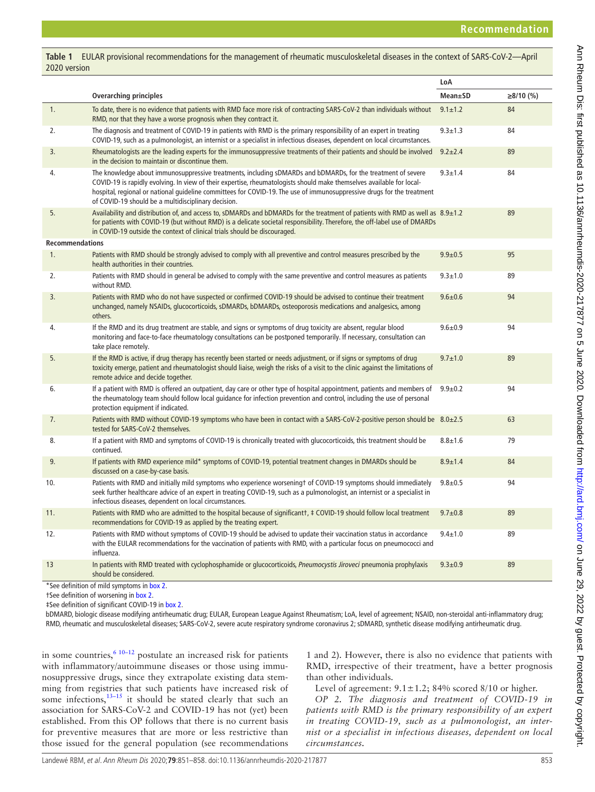<span id="page-2-0"></span>**Table 1** EULAR provisional recommendations for the management of rheumatic musculoskeletal diseases in the context of SARS-CoV-2—April 2020 version

|                        |                                                                                                                                                                                                                                                                                                                                                                                                                        | LoA            |             |
|------------------------|------------------------------------------------------------------------------------------------------------------------------------------------------------------------------------------------------------------------------------------------------------------------------------------------------------------------------------------------------------------------------------------------------------------------|----------------|-------------|
|                        | <b>Overarching principles</b>                                                                                                                                                                                                                                                                                                                                                                                          | <b>Mean±SD</b> | $≥8/10$ (%) |
| 1.                     | To date, there is no evidence that patients with RMD face more risk of contracting SARS-CoV-2 than individuals without<br>RMD, nor that they have a worse prognosis when they contract it.                                                                                                                                                                                                                             | $9.1 \pm 1.2$  | 84          |
| 2.                     | The diagnosis and treatment of COVID-19 in patients with RMD is the primary responsibility of an expert in treating<br>COVID-19, such as a pulmonologist, an internist or a specialist in infectious diseases, dependent on local circumstances.                                                                                                                                                                       | $9.3 \pm 1.3$  | 84          |
| 3.                     | Rheumatologists are the leading experts for the immunosuppressive treatments of their patients and should be involved<br>in the decision to maintain or discontinue them.                                                                                                                                                                                                                                              | $9.2 \pm 2.4$  | 89          |
| 4.                     | The knowledge about immunosuppressive treatments, including sDMARDs and bDMARDs, for the treatment of severe<br>COVID-19 is rapidly evolving. In view of their expertise, rheumatologists should make themselves available for local-<br>hospital, regional or national quideline committees for COVID-19. The use of immunosuppressive drugs for the treatment<br>of COVID-19 should be a multidisciplinary decision. | $9.3 + 1.4$    | 84          |
| 5.                     | Availability and distribution of, and access to, sDMARDs and bDMARDs for the treatment of patients with RMD as well as 8.9±1.2<br>for patients with COVID-19 (but without RMD) is a delicate societal responsibility. Therefore, the off-label use of DMARDs<br>in COVID-19 outside the context of clinical trials should be discouraged.                                                                              |                | 89          |
| <b>Recommendations</b> |                                                                                                                                                                                                                                                                                                                                                                                                                        |                |             |
| 1.                     | Patients with RMD should be strongly advised to comply with all preventive and control measures prescribed by the<br>health authorities in their countries.                                                                                                                                                                                                                                                            | $9.9 + 0.5$    | 95          |
| 2.                     | Patients with RMD should in general be advised to comply with the same preventive and control measures as patients<br>without RMD.                                                                                                                                                                                                                                                                                     | $9.3 + 1.0$    | 89          |
| 3.                     | Patients with RMD who do not have suspected or confirmed COVID-19 should be advised to continue their treatment<br>unchanged, namely NSAIDs, glucocorticoids, sDMARDs, bDMARDs, osteoporosis medications and analgesics, among<br>others.                                                                                                                                                                              | $9.6 + 0.6$    | 94          |
| 4.                     | If the RMD and its drug treatment are stable, and signs or symptoms of drug toxicity are absent, regular blood<br>monitoring and face-to-face rheumatology consultations can be postponed temporarily. If necessary, consultation can<br>take place remotely.                                                                                                                                                          | $9.6 + 0.9$    | 94          |
| 5.                     | If the RMD is active, if drug therapy has recently been started or needs adjustment, or if signs or symptoms of drug<br>toxicity emerge, patient and rheumatologist should liaise, weigh the risks of a visit to the clinic against the limitations of<br>remote advice and decide together.                                                                                                                           | $9.7 \pm 1.0$  | 89          |
| 6.                     | If a patient with RMD is offered an outpatient, day care or other type of hospital appointment, patients and members of<br>the rheumatology team should follow local quidance for infection prevention and control, including the use of personal<br>protection equipment if indicated.                                                                                                                                | $9.9 + 0.2$    | 94          |
| 7.                     | Patients with RMD without COVID-19 symptoms who have been in contact with a SARS-CoV-2-positive person should be 8.0±2.5<br>tested for SARS-CoV-2 themselves.                                                                                                                                                                                                                                                          |                | 63          |
| 8.                     | If a patient with RMD and symptoms of COVID-19 is chronically treated with glucocorticoids, this treatment should be<br>continued.                                                                                                                                                                                                                                                                                     | $8.8 + 1.6$    | 79          |
| 9.                     | If patients with RMD experience mild* symptoms of COVID-19, potential treatment changes in DMARDs should be<br>discussed on a case-by-case basis.                                                                                                                                                                                                                                                                      | $8.9 + 1.4$    | 84          |
| 10.                    | Patients with RMD and initially mild symptoms who experience worseningt of COVID-19 symptoms should immediately<br>seek further healthcare advice of an expert in treating COVID-19, such as a pulmonologist, an internist or a specialist in<br>infectious diseases, dependent on local circumstances.                                                                                                                | $9.8 + 0.5$    | 94          |
| 11.                    | Patients with RMD who are admitted to the hospital because of significant # COVID-19 should follow local treatment<br>recommendations for COVID-19 as applied by the treating expert.                                                                                                                                                                                                                                  | $9.7 \pm 0.8$  | 89          |
| 12.                    | Patients with RMD without symptoms of COVID-19 should be advised to update their vaccination status in accordance<br>with the EULAR recommendations for the vaccination of patients with RMD, with a particular focus on pneumococci and<br>influenza.                                                                                                                                                                 | $9.4 + 1.0$    | 89          |
| 13                     | In patients with RMD treated with cyclophosphamide or glucocorticoids, Pneumocystis Jiroveci pneumonia prophylaxis<br>should be considered.                                                                                                                                                                                                                                                                            | $9.3 \pm 0.9$  | 89          |
|                        |                                                                                                                                                                                                                                                                                                                                                                                                                        |                |             |

\*See definition of mild symptoms in [box 2.](#page-3-0)

†See definition of worsening in [box 2](#page-3-0).

‡See definition of significant COVID-19 in [box 2.](#page-3-0)

bDMARD, biologic disease modifying antirheumatic drug; EULAR, European League Against Rheumatism; LoA, level of agreement; NSAID, non-steroidal anti-inflammatory drug; RMD, rheumatic and musculoskeletal diseases; SARS-CoV-2, severe acute respiratory syndrome coronavirus 2; sDMARD, synthetic disease modifying antirheumatic drug.

in some countries, $6^{6}$ <sup>10–12</sup> postulate an increased risk for patients with inflammatory/autoimmune diseases or those using immunosuppressive drugs, since they extrapolate existing data stemming from registries that such patients have increased risk of some infections, $13-15$  it should be stated clearly that such an association for SARS-CoV-2 and COVID-19 has not (yet) been established. From this OP follows that there is no current basis for preventive measures that are more or less restrictive than those issued for the general population (see recommendations

1 and 2). However, there is also no evidence that patients with RMD, irrespective of their treatment, have a better prognosis than other individuals.

Level of agreement:  $9.1 \pm 1.2$ ; 84% scored 8/10 or higher.

*OP 2. The diagnosis and treatment of COVID-19 in patients with RMD is the primary responsibility of an expert in treating COVID-19, such as a pulmonologist, an internist or a specialist in infectious diseases, dependent on local circumstances.*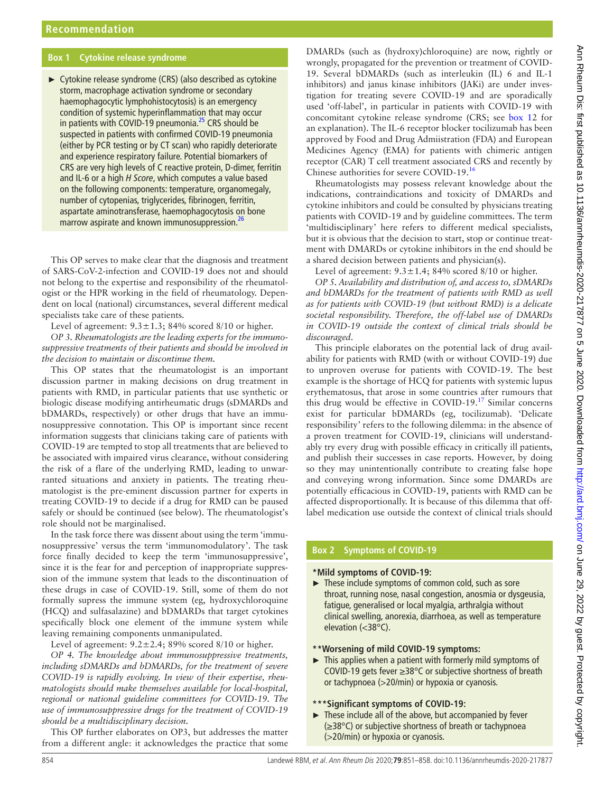#### **Box 1 Cytokine release syndrome**

<span id="page-3-1"></span>► Cytokine release syndrome (CRS) (also described as cytokine storm, macrophage activation syndrome or secondary haemophagocytic lymphohistocytosis) is an emergency condition of systemic hyperinflammation that may occur in patients with COVID-19 pneumonia.<sup>25</sup> CRS should be suspected in patients with confirmed COVID-19 pneumonia (either by PCR testing or by CT scan) who rapidly deteriorate and experience respiratory failure. Potential biomarkers of CRS are very high levels of C reactive protein, D-dimer, ferritin and IL-6 or a high *H Score*, which computes a value based on the following components: temperature, organomegaly, number of cytopenias, triglycerides, fibrinogen, ferritin, aspartate aminotransferase, haemophagocytosis on bone marrow aspirate and known immunosuppression.<sup>26</sup>

This OP serves to make clear that the diagnosis and treatment of SARS-CoV-2-infection and COVID-19 does not and should not belong to the expertise and responsibility of the rheumatologist or the HPR working in the field of rheumatology. Dependent on local (national) circumstances, several different medical specialists take care of these patients.

Level of agreement:  $9.3 \pm 1.3$ ; 84% scored 8/10 or higher.

*OP 3. Rheumatologists are the leading experts for the immunosuppressive treatments of their patients and should be involved in the decision to maintain or discontinue them.*

This OP states that the rheumatologist is an important discussion partner in making decisions on drug treatment in patients with RMD, in particular patients that use synthetic or biologic disease modifying antirheumatic drugs (sDMARDs and bDMARDs, respectively) or other drugs that have an immunosuppressive connotation. This OP is important since recent information suggests that clinicians taking care of patients with COVID-19 are tempted to stop all treatments that are believed to be associated with impaired virus clearance, without considering the risk of a flare of the underlying RMD, leading to unwarranted situations and anxiety in patients. The treating rheumatologist is the pre-eminent discussion partner for experts in treating COVID-19 to decide if a drug for RMD can be paused safely or should be continued (see below). The rheumatologist's role should not be marginalised.

In the task force there was dissent about using the term 'immunosuppressive' versus the term 'immunomodulatory'. The task force finally decided to keep the term 'immunosuppressive', since it is the fear for and perception of inappropriate suppression of the immune system that leads to the discontinuation of these drugs in case of COVID-19. Still, some of them do not formally supress the immune system (eg, hydroxychloroquine (HCQ) and sulfasalazine) and bDMARDs that target cytokines specifically block one element of the immune system while leaving remaining components unmanipulated.

Level of agreement:  $9.2 \pm 2.4$ ; 89% scored 8/10 or higher.

*OP 4. The knowledge about immunosuppressive treatments, including sDMARDs and bDMARDs, for the treatment of severe COVID-19 is rapidly evolving. In view of their expertise, rheumatologists should make themselves available for local-hospital, regional or national guideline committees for COVID-19. The use of immunosuppressive drugs for the treatment of COVID-19 should be a multidisciplinary decision.*

This OP further elaborates on OP3, but addresses the matter from a different angle: it acknowledges the practice that some

DMARDs (such as (hydroxy)chloroquine) are now, rightly or wrongly, propagated for the prevention or treatment of COVID-19. Several bDMARDs (such as interleukin (IL) 6 and IL-1 inhibitors) and janus kinase inhibitors (JAKi) are under investigation for treating severe COVID-19 and are sporadically used 'off-label', in particular in patients with COVID-19 with concomitant cytokine release syndrome (CRS; see [box](#page-3-1) 12 for an explanation). The IL-6 receptor blocker tocilizumab has been approved by Food and Drug Admiistration (FDA) and European Medicines Agency (EMA) for patients with chimeric antigen receptor (CAR) T cell treatment associated CRS and recently by Chinese authorities for severe COVID-19[.16](#page-7-6)

Rheumatologists may possess relevant knowledge about the indications, contraindications and toxicity of DMARDs and cytokine inhibitors and could be consulted by physicians treating patients with COVID-19 and by guideline committees. The term 'multidisciplinary' here refers to different medical specialists, but it is obvious that the decision to start, stop or continue treatment with DMARDs or cytokine inhibitors in the end should be a shared decision between patients and physician(s).

Level of agreement:  $9.3 \pm 1.4$ ; 84% scored 8/10 or higher.

*OP 5. Availability and distribution of, and access to, sDMARDs and bDMARDs for the treatment of patients with RMD as well as for patients with COVID-19 (but without RMD) is a delicate societal responsibility. Therefore, the off-label use of DMARDs in COVID-19 outside the context of clinical trials should be discouraged*.

This principle elaborates on the potential lack of drug availability for patients with RMD (with or without COVID-19) due to unproven overuse for patients with COVID-19. The best example is the shortage of HCQ for patients with systemic lupus erythematosus, that arose in some countries after rumours that this drug would be effective in COVID-19. $17$  Similar concerns exist for particular bDMARDs (eg, tocilizumab). 'Delicate responsibility' refers to the following dilemma: in the absence of a proven treatment for COVID-19, clinicians will understandably try every drug with possible efficacy in critically ill patients, and publish their successes in case reports. However, by doing so they may unintentionally contribute to creating false hope and conveying wrong information. Since some DMARDs are potentially efficacious in COVID-19, patients with RMD can be affected disproportionally. It is because of this dilemma that offlabel medication use outside the context of clinical trials should

## **Box 2 Symptoms of COVID-19**

#### <span id="page-3-0"></span>**\*Mild symptoms of COVID-19:**

► These include symptoms of common cold, such as sore throat, running nose, nasal congestion, anosmia or dysgeusia, fatigue, generalised or local myalgia, arthralgia without clinical swelling, anorexia, diarrhoea, as well as temperature elevation (<38°C).

#### **\*\*Worsening of mild COVID-19 symptoms:**

► This applies when a patient with formerly mild symptoms of COVID-19 gets fever ≥38°C or subjective shortness of breath or tachypnoea (>20/min) or hypoxia or cyanosis.

#### **\*\*\*Significant symptoms of COVID-19:**

 $\blacktriangleright$  These include all of the above, but accompanied by fever (≥38°C) or subjective shortness of breath or tachypnoea (>20/min) or hypoxia or cyanosis.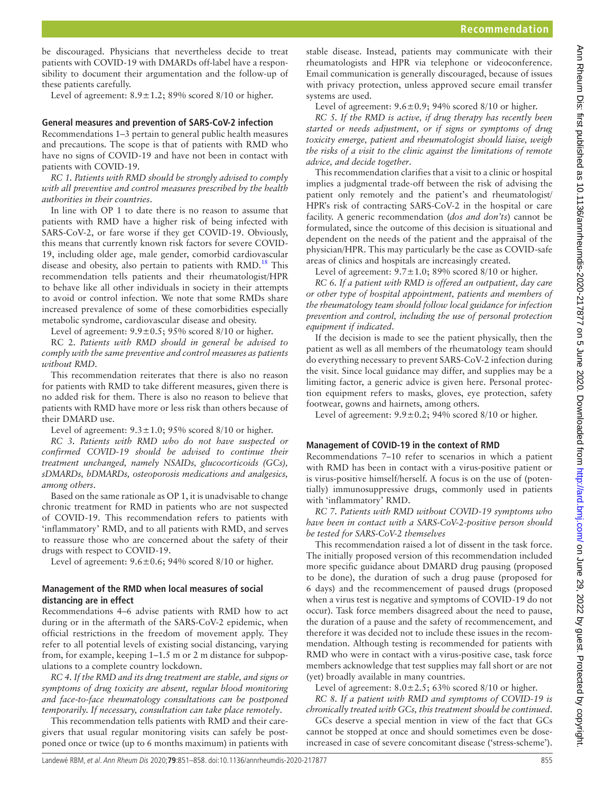be discouraged. Physicians that nevertheless decide to treat patients with COVID-19 with DMARDs off-label have a responsibility to document their argumentation and the follow-up of these patients carefully.

Level of agreement:  $8.9 \pm 1.2$ ; 89% scored 8/10 or higher.

#### **General measures and prevention of SARS-CoV-2 infection**

Recommendations 1–3 pertain to general public health measures and precautions. The scope is that of patients with RMD who have no signs of COVID-19 and have not been in contact with patients with COVID-19.

*RC 1. Patients with RMD should be strongly advised to comply with all preventive and control measures prescribed by the health authorities in their countries*.

In line with OP 1 to date there is no reason to assume that patients with RMD have a higher risk of being infected with SARS-CoV-2, or fare worse if they get COVID-19. Obviously, this means that currently known risk factors for severe COVID-19, including older age, male gender, comorbid cardiovascular disease and obesity, also pertain to patients with  $RMD<sup>18</sup>$  $RMD<sup>18</sup>$  $RMD<sup>18</sup>$ . This recommendation tells patients and their rheumatologist/HPR to behave like all other individuals in society in their attempts to avoid or control infection. We note that some RMDs share increased prevalence of some of these comorbidities especially metabolic syndrome, cardiovascular disease and obesity.

Level of agreement:  $9.9 \pm 0.5$ ;  $95\%$  scored 8/10 or higher.

RC 2. *Patients with RMD should in general be advised to comply with the same preventive and control measures as patients without RMD*.

This recommendation reiterates that there is also no reason for patients with RMD to take different measures, given there is no added risk for them. There is also no reason to believe that patients with RMD have more or less risk than others because of their DMARD use.

Level of agreement:  $9.3 \pm 1.0$ ;  $95\%$  scored  $8/10$  or higher.

*RC 3. Patients with RMD who do not have suspected or confirmed COVID-19 should be advised to continue their treatment unchanged, namely NSAIDs, glucocorticoids (GCs), sDMARDs, bDMARDs, osteoporosis medications and analgesics, among others*.

Based on the same rationale as OP 1, it is unadvisable to change chronic treatment for RMD in patients who are not suspected of COVID-19. This recommendation refers to patients with 'inflammatory' RMD, and to all patients with RMD, and serves to reassure those who are concerned about the safety of their drugs with respect to COVID-19.

Level of agreement:  $9.6 \pm 0.6$ ; 94% scored 8/10 or higher.

#### **Management of the RMD when local measures of social distancing are in effect**

Recommendations 4–6 advise patients with RMD how to act during or in the aftermath of the SARS-CoV-2 epidemic, when official restrictions in the freedom of movement apply. They refer to all potential levels of existing social distancing, varying from, for example, keeping 1–1.5 m or 2 m distance for subpopulations to a complete country lockdown.

*RC 4. If the RMD and its drug treatment are stable, and signs or symptoms of drug toxicity are absent, regular blood monitoring and face-to-face rheumatology consultations can be postponed temporarily. If necessary, consultation can take place remotely*.

This recommendation tells patients with RMD and their caregivers that usual regular monitoring visits can safely be postponed once or twice (up to 6 months maximum) in patients with

stable disease. Instead, patients may communicate with their rheumatologists and HPR via telephone or videoconference. Email communication is generally discouraged, because of issues with privacy protection, unless approved secure email transfer systems are used.

Level of agreement:  $9.6 \pm 0.9$ ;  $94\%$  scored  $8/10$  or higher.

*RC 5. If the RMD is active, if drug therapy has recently been started or needs adjustment, or if signs or symptoms of drug toxicity emerge, patient and rheumatologist should liaise, weigh the risks of a visit to the clinic against the limitations of remote advice, and decide together*.

This recommendation clarifies that a visit to a clinic or hospital implies a judgmental trade-off between the risk of advising the patient only remotely and the patient's and rheumatologist/ HPR's risk of contracting SARS-CoV-2 in the hospital or care facility. A generic recommendation (*dos and don'ts*) cannot be formulated, since the outcome of this decision is situational and dependent on the needs of the patient and the appraisal of the physician/HPR. This may particularly be the case as COVID-safe areas of clinics and hospitals are increasingly created.

Level of agreement:  $9.7 \pm 1.0$ ; 89% scored 8/10 or higher.

*RC 6. If a patient with RMD is offered an outpatient, day care or other type of hospital appointment, patients and members of the rheumatology team should follow local guidance for infection prevention and control, including the use of personal protection equipment if indicated*.

If the decision is made to see the patient physically, then the patient as well as all members of the rheumatology team should do everything necessary to prevent SARS-CoV-2 infection during the visit. Since local guidance may differ, and supplies may be a limiting factor, a generic advice is given here. Personal protection equipment refers to masks, gloves, eye protection, safety footwear, gowns and hairnets, among others.

Level of agreement:  $9.9 \pm 0.2$ ; 94% scored 8/10 or higher.

## **Management of COVID-19 in the context of RMD**

Recommendations 7–10 refer to scenarios in which a patient with RMD has been in contact with a virus-positive patient or is virus-positive himself/herself. A focus is on the use of (potentially) immunosuppressive drugs, commonly used in patients with 'inflammatory' RMD.

*RC 7. Patients with RMD without COVID-19 symptoms who have been in contact with a SARS-CoV-2-positive person should be tested for SARS-CoV-2 themselves*

This recommendation raised a lot of dissent in the task force. The initially proposed version of this recommendation included more specific guidance about DMARD drug pausing (proposed to be done), the duration of such a drug pause (proposed for 6 days) and the recommencement of paused drugs (proposed when a virus test is negative and symptoms of COVID-19 do not occur). Task force members disagreed about the need to pause, the duration of a pause and the safety of recommencement, and therefore it was decided not to include these issues in the recommendation. Although testing is recommended for patients with RMD who were in contact with a virus-positive case, task force members acknowledge that test supplies may fall short or are not (yet) broadly available in many countries.

Level of agreement:  $8.0 \pm 2.5$ ; 63% scored 8/10 or higher. *RC 8. If a patient with RMD and symptoms of COVID-19 is* 

*chronically treated with GCs, this treatment should be continued*. GCs deserve a special mention in view of the fact that GCs cannot be stopped at once and should sometimes even be doseincreased in case of severe concomitant disease ('stress-scheme').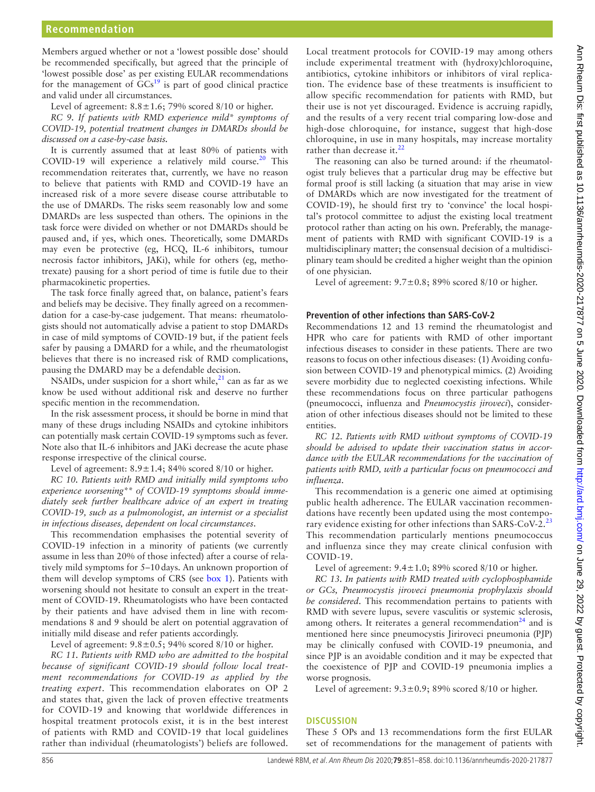Members argued whether or not a 'lowest possible dose' should be recommended specifically, but agreed that the principle of 'lowest possible dose' as per existing EULAR recommendations for the management of  $\widehat{GCs}^{19}$  is part of good clinical practice and valid under all circumstances.

Level of agreement:  $8.8 \pm 1.6$ ; 79% scored  $8/10$  or higher.

*RC 9. If patients with RMD experience mild\* symptoms of COVID-19, potential treatment changes in DMARDs should be discussed on a case-by-case basis.*

It is currently assumed that at least 80% of patients with COVID-19 will experience a relatively mild course.<sup>20</sup> This recommendation reiterates that, currently, we have no reason to believe that patients with RMD and COVID-19 have an increased risk of a more severe disease course attributable to the use of DMARDs. The risks seem reasonably low and some DMARDs are less suspected than others. The opinions in the task force were divided on whether or not DMARDs should be paused and, if yes, which ones. Theoretically, some DMARDs may even be protective (eg, HCQ, IL-6 inhibitors, tumour necrosis factor inhibitors, JAKi), while for others (eg, methotrexate) pausing for a short period of time is futile due to their pharmacokinetic properties.

The task force finally agreed that, on balance, patient's fears and beliefs may be decisive. They finally agreed on a recommendation for a case-by-case judgement. That means: rheumatologists should not automatically advise a patient to stop DMARDs in case of mild symptoms of COVID-19 but, if the patient feels safer by pausing a DMARD for a while, and the rheumatologist believes that there is no increased risk of RMD complications, pausing the DMARD may be a defendable decision.

NSAIDs, under suspicion for a short while, $^{21}$  can as far as we know be used without additional risk and deserve no further specific mention in the recommendation.

In the risk assessment process, it should be borne in mind that many of these drugs including NSAIDs and cytokine inhibitors can potentially mask certain COVID-19 symptoms such as fever. Note also that IL-6 inhibitors and JAKi decrease the acute phase response irrespective of the clinical course.

Level of agreement:  $8.9 \pm 1.4$ ;  $84\%$  scored  $8/10$  or higher.

*RC 10. Patients with RMD and initially mild symptoms who experience worsening\*\* of COVID-19 symptoms should immediately seek further healthcare advice of an expert in treating COVID-19, such as a pulmonologist, an internist or a specialist in infectious diseases, dependent on local circumstances*.

This recommendation emphasises the potential severity of COVID-19 infection in a minority of patients (we currently assume in less than 20% of those infected) after a course of relatively mild symptoms for 5–10days. An unknown proportion of them will develop symptoms of CRS (see [box](#page-3-1) 1). Patients with worsening should not hesitate to consult an expert in the treatment of COVID-19. Rheumatologists who have been contacted by their patients and have advised them in line with recommendations 8 and 9 should be alert on potential aggravation of initially mild disease and refer patients accordingly.

Level of agreement:  $9.8 \pm 0.5$ ; 94% scored 8/10 or higher.

*RC 11. Patients with RMD who are admitted to the hospital because of significant COVID-19 should follow local treatment recommendations for COVID-19 as applied by the treating expert*. This recommendation elaborates on OP 2 and states that, given the lack of proven effective treatments for COVID-19 and knowing that worldwide differences in hospital treatment protocols exist, it is in the best interest of patients with RMD and COVID-19 that local guidelines rather than individual (rheumatologists') beliefs are followed.

Local treatment protocols for COVID-19 may among others include experimental treatment with (hydroxy)chloroquine, antibiotics, cytokine inhibitors or inhibitors of viral replication. The evidence base of these treatments is insufficient to allow specific recommendation for patients with RMD, but their use is not yet discouraged. Evidence is accruing rapidly, and the results of a very recent trial comparing low-dose and high-dose chloroquine, for instance, suggest that high-dose chloroquine, in use in many hospitals, may increase mortality rather than decrease it. $^{22}$  $^{22}$  $^{22}$ 

The reasoning can also be turned around: if the rheumatologist truly believes that a particular drug may be effective but formal proof is still lacking (a situation that may arise in view of DMARDs which are now investigated for the treatment of COVID-19), he should first try to 'convince' the local hospital's protocol committee to adjust the existing local treatment protocol rather than acting on his own. Preferably, the management of patients with RMD with significant COVID-19 is a multidisciplinary matter; the consensual decision of a multidisciplinary team should be credited a higher weight than the opinion of one physician.

Level of agreement:  $9.7 \pm 0.8$ ; 89% scored 8/10 or higher.

#### **Prevention of other infections than SARS-CoV-2**

Recommendations 12 and 13 remind the rheumatologist and HPR who care for patients with RMD of other important infectious diseases to consider in these patients. There are two reasons to focus on other infectious diseases: (1) Avoiding confusion between COVID-19 and phenotypical mimics. (2) Avoiding severe morbidity due to neglected coexisting infections. While these recommendations focus on three particular pathogens (pneumococci, influenza and *Pneumocystis jiroveci*), consideration of other infectious diseases should not be limited to these entities.

*RC 12. Patients with RMD without symptoms of COVID-19 should be advised to update their vaccination status in accordance with the EULAR recommendations for the vaccination of patients with RMD, with a particular focus on pneumococci and influenza*.

This recommendation is a generic one aimed at optimising public health adherence. The EULAR vaccination recommendations have recently been updated using the most contempo-rary evidence existing for other infections than SARS-CoV-2.<sup>[23](#page-7-13)</sup> This recommendation particularly mentions pneumococcus and influenza since they may create clinical confusion with COVID-19.

Level of agreement:  $9.4 \pm 1.0$ ; 89% scored 8/10 or higher.

*RC 13. In patients with RMD treated with cyclophosphamide or GCs, Pneumocystis jiroveci pneumonia prophylaxis should be considered*. This recommendation pertains to patients with RMD with severe lupus, severe vasculitis or systemic sclerosis, among others. It reiterates a general recommendation<sup>[24](#page-7-14)</sup> and is mentioned here since pneumocystis Jiriroveci pneumonia (PJP) may be clinically confused with COVID-19 pneumonia, and since PJP is an avoidable condition and it may be expected that the coexistence of PJP and COVID-19 pneumonia implies a worse prognosis.

Level of agreement:  $9.3 \pm 0.9$ ; 89% scored 8/10 or higher.

#### **Discussion**

These 5 OPs and 13 recommendations form the first EULAR set of recommendations for the management of patients with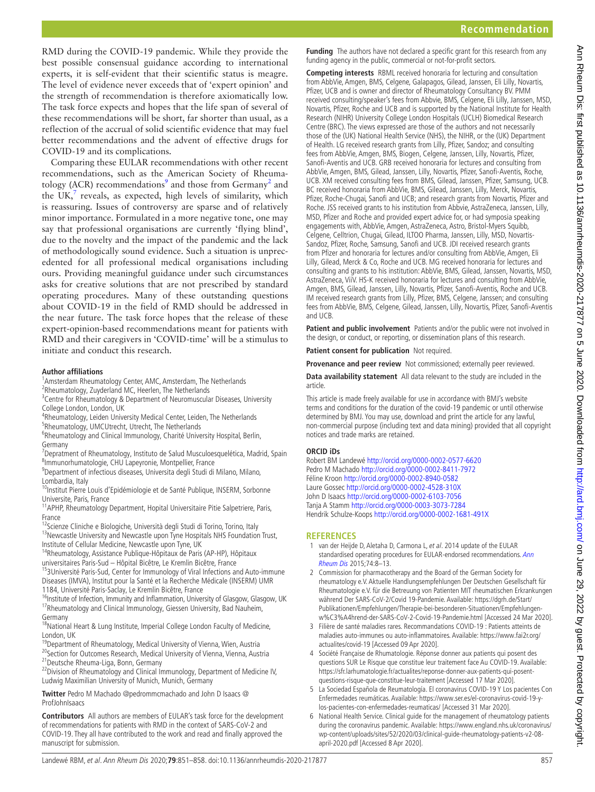RMD during the COVID-19 pandemic. While they provide the best possible consensual guidance according to international experts, it is self-evident that their scientific status is meagre. The level of evidence never exceeds that of 'expert opinion' and the strength of recommendation is therefore axiomatically low. The task force expects and hopes that the life span of several of these recommendations will be short, far shorter than usual, as a reflection of the accrual of solid scientific evidence that may fuel better recommendations and the advent of effective drugs for COVID-19 and its complications.

Comparing these EULAR recommendations with other recent recommendations, such as the American Society of Rheuma-tology (ACR) recommendations<sup>[9](#page-7-2)</sup> and those from Germany<sup>[2](#page-6-1)</sup> and the UK, $^7$  $^7$  reveals, as expected, high levels of similarity, which is reassuring. Issues of controversy are sparse and of relatively minor importance. Formulated in a more negative tone, one may say that professional organisations are currently 'flying blind', due to the novelty and the impact of the pandemic and the lack of methodologically sound evidence. Such a situation is unprecedented for all professional medical organisations including ours. Providing meaningful guidance under such circumstances asks for creative solutions that are not prescribed by standard operating procedures. Many of these outstanding questions about COVID-19 in the field of RMD should be addressed in the near future. The task force hopes that the release of these expert-opinion-based recommendations meant for patients with RMD and their caregivers in 'COVID-time' will be a stimulus to initiate and conduct this research.

#### **Author affiliations**

<sup>1</sup> Amsterdam Rheumatology Center, AMC, Amsterdam, The Netherlands <sup>2</sup>Rheumatology, Zuyderland MC, Heerlen, The Netherlands

<sup>3</sup> Centre for Rheumatology & Department of Neuromuscular Diseases, University College London, London, UK

- <sup>4</sup>Rheumatology, Leiden University Medical Center, Leiden, The Netherlands
- <sup>5</sup>Rheumatology, UMCUtrecht, Utrecht, The Netherlands

<sup>6</sup>Rheumatology and Clinical Immunology, Charité University Hospital, Berlin, Germany

<sup>7</sup>Depratment of Rheumatology, Instituto de Salud Musculoesquelética, Madrid, Spain 8 Immunorhumatologie, CHU Lapeyronie, Montpellier, France

9 Department of infectious diseases, Universita degli Studi di Milano, Milano, Lombardia, Italy

10Institut Pierre Louis d'Epidémiologie et de Santé Publique, INSERM, Sorbonne Universite, Paris, France

<sup>11</sup> APHP, Rheumatology Department, Hopital Universitaire Pitie Salpetriere, Paris, France

<sup>12</sup>Scienze Cliniche e Biologiche, Università degli Studi di Torino, Torino, Italy <sup>13</sup>Newcastle University and Newcastle upon Tyne Hospitals NHS Foundation Trust, Institute of Cellular Medicine, Newcastle upon Tyne, UK

14Rheumatology, Assistance Publique-Hôpitaux de Paris (AP-HP), Hôpitaux<br>universitaires Paris-Sud - Hôpital Bicêtre, Le Kremlin Bicêtre, France

<sup>15</sup>3Université Paris-Sud, Center for Immunology of Viral Infections and Auto-immune Diseases (IMVA), Institut pour la Santé et la Recherche Médicale (INSERM) UMR 1184, Université Paris-Saclay, Le Kremlin Bicêtre, France<br><sup>16</sup>Institute of Infection, Immunity and Inflammation, University of Glasgow, Glasgow, UK

<sup>17</sup>Rheumatology and Clinical Immunology, Giessen University, Bad Nauheim, Germany

<sup>18</sup>National Heart & Lung Institute, Imperial College London Faculty of Medicine, London, UK

<sup>19</sup>Department of Rheumatology, Medical University of Vienna, Wien, Austria <sup>20</sup>Section for Outcomes Research, Medical University of Vienna, Vienna, Austria<sup>21</sup> Deutsche Rheuma-Liga, Bonn, Germany

<sup>22</sup>Division of Rheumatology and Clinical Immunology, Department of Medicine IV, Ludwig Maximilian University of Munich, Munich, Germany

**Twitter** Pedro M Machado [@pedrommcmachado](https://twitter.com/pedrommcmachado) and John D Isaacs [@](https://twitter.com/ProfJohnIsaacs) [ProfJohnIsaacs](https://twitter.com/ProfJohnIsaacs)

**Contributors** All authors are members of EULAR's task force for the development of recommendations for patients with RMD in the context of SARS-CoV-2 and COVID-19. They all have contributed to the work and read and finally approved the manuscript for submission.

**Funding** The authors have not declared a specific grant for this research from any funding agency in the public, commercial or not-for-profit sectors.

**Competing interests** RBML received honoraria for lecturing and consultation from AbbVie, Amgen, BMS, Celgene, Galapagos, Gilead, Janssen, Eli Lilly, Novartis, Pfizer, UCB and is owner and director of Rheumatology Consultancy BV. PMM received consulting/speaker's fees from Abbvie, BMS, Celgene, Eli Lilly, Janssen, MSD, Novartis, Pfizer, Roche and UCB and is supported by the National Institute for Health Research (NIHR) University College London Hospitals (UCLH) Biomedical Research Centre (BRC). The views expressed are those of the authors and not necessarily those of the (UK) National Health Service (NHS), the NIHR, or the (UK) Department of Health. LG received research grants from Lilly, Pfizer, Sandoz; and consulting fees from AbbVie, Amgen, BMS, Biogen, Celgene, Janssen, Lilly, Novartis, Pfizer, Sanofi-Aventis and UCB. GRB received honoraria for lectures and consulting from AbbVie, Amgen, BMS, Gilead, Janssen, Lilly, Novartis, Pfizer, Sanofi-Aventis, Roche, UCB. XM received consulting fees from BMS, Gilead, Janssen, Pfizer, Samsung, UCB. BC received honoraria from AbbVie, BMS, Gilead, Janssen, Lilly, Merck, Novartis, Pfizer, Roche-Chugai, Sanofi and UCB; and research grants from Novartis, Pfizer and Roche. JSS received grants to his institution from Abbvie, AstraZeneca, Janssen, Lilly, MSD, Pfizer and Roche and provided expert advice for, or had symposia speaking engagements with, AbbVie, Amgen, AstraZeneca, Astro, Bristol-Myers Squibb, Celgene, Celltrion, Chugai, Gilead, ILTOO Pharma, Janssen, Lilly, MSD, Novartis-Sandoz, Pfizer, Roche, Samsung, Sanofi and UCB. JDI received research grants from Pfizer and honoraria for lectures and/or consulting from AbbVie, Amgen, Eli Lilly, Gilead, Merck & Co, Roche and UCB. MG received honoraria for lectures and consulting and grants to his institution: AbbVie, BMS, Gilead, Janssen, Novartis, MSD, AstraZeneca, ViiV. HS-K received honoraria for lectures and consulting from AbbVie, Amgen, BMS, Gilead, Janssen, Lilly, Novartis, Pfizer, Sanofi-Aventis, Roche and UCB. IM received research grants from Lilly, Pfizer, BMS, Celgene, Janssen; and consulting fees from AbbVie, BMS, Celgene, Gilead, Janssen, Lilly, Novartis, Pfizer, Sanofi-Aventis and UCB.

**Patient and public involvement** Patients and/or the public were not involved in the design, or conduct, or reporting, or dissemination plans of this research.

**Patient consent for publication** Not required.

**Provenance and peer review** Not commissioned; externally peer reviewed.

**Data availability statement** All data relevant to the study are included in the article.

This article is made freely available for use in accordance with BMJ's website terms and conditions for the duration of the covid-19 pandemic or until otherwise determined by BMJ. You may use, download and print the article for any lawful, non-commercial purpose (including text and data mining) provided that all copyright notices and trade marks are retained.

#### **ORCID iDs**

Robert BM Landewé <http://orcid.org/0000-0002-0577-6620> Pedro M Machado <http://orcid.org/0000-0002-8411-7972> Féline Kroon <http://orcid.org/0000-0002-8940-0582> Laure Gossec <http://orcid.org/0000-0002-4528-310X> John D Isaacs <http://orcid.org/0000-0002-6103-7056> Tanja A Stamm <http://orcid.org/0000-0003-3073-7284> Hendrik Schulze-Koops <http://orcid.org/0000-0002-1681-491X>

## **References**

- <span id="page-6-0"></span>1 van der Heijde D, Aletaha D, Carmona L, et al. 2014 update of the EULAR standardised operating procedures for EULAR-endorsed recommendations. Ann [Rheum Dis](http://dx.doi.org/10.1136/annrheumdis-2014-206350) 2015;74:8–13.
- <span id="page-6-1"></span>2 Commission for pharmacotherapy and the Board of the German Society for rheumatology e.V. Aktuelle Handlungsempfehlungen Der Deutschen Gesellschaft für Rheumatologie e.V. für die Betreuung von Patienten MIT rheumatischen Erkrankungen während Der SARS-CoV-2/Covid 19-Pandemie. Available: [https://dgrh.de/Start/](https://dgrh.de/Start/Publikationen/Empfehlungen/Therapie-bei-besonderen-Situationen/Empfehlungen-w%C3%A4hrend-der-SARS-CoV-2-Covid-19-Pandemie.html) [Publikationen/Empfehlungen/Therapie-bei-besonderen-Situationen/Empfehlungen](https://dgrh.de/Start/Publikationen/Empfehlungen/Therapie-bei-besonderen-Situationen/Empfehlungen-w%C3%A4hrend-der-SARS-CoV-2-Covid-19-Pandemie.html)[w%C3%A4hrend-der-SARS-CoV-2-Covid-19-Pandemie.html](https://dgrh.de/Start/Publikationen/Empfehlungen/Therapie-bei-besonderen-Situationen/Empfehlungen-w%C3%A4hrend-der-SARS-CoV-2-Covid-19-Pandemie.html) [Accessed 24 Mar 2020].
- <span id="page-6-2"></span>3 Filière de santé maladies rares. Recommandations COVID-19 : Patients atteints de maladies auto-immunes ou auto-inflammatoires. Available: [https://www.fai2r.org/](https://www.fai2r.org/actualites/covid-19) [actualites/covid-19](https://www.fai2r.org/actualites/covid-19) [Accessed 09 Apr 2020].
- 4 Société Française de Rhumatologie. Réponse donner aux patients qui posent des questions SUR Le Risque que constitue leur traitement face Au COVID-19. Available: [https://sfr.larhumatologie.fr/actualites/reponse-donner-aux-patients-qui-posent](https://sfr.larhumatologie.fr/actualites/reponse-donner-aux-patients-qui-posent-questions-risque-que-constitue-leur-traitement)[questions-risque-que-constitue-leur-traitement](https://sfr.larhumatologie.fr/actualites/reponse-donner-aux-patients-qui-posent-questions-risque-que-constitue-leur-traitement) [Accessed 17 Mar 2020].
- <span id="page-6-3"></span>5 La Sociedad Española de Reumatología. El coronavirus COVID-19 Y Los pacientes Con Enfermedades reumáticas. Available: [https://www.ser.es/el-coronavirus-covid-19-y](https://www.ser.es/el-coronavirus-covid-19-y-los-pacientes-con-enfermedades-reumaticas/)[los-pacientes-con-enfermedades-reumaticas/](https://www.ser.es/el-coronavirus-covid-19-y-los-pacientes-con-enfermedades-reumaticas/) [Accessed 31 Mar 2020].
- <span id="page-6-4"></span>6 National Health Service. Clinical guide for the management of rheumatology patients during the coronavirus pandemic. Available: [https://www.england.nhs.uk/coronavirus/](https://www.england.nhs.uk/coronavirus/wp-content/uploads/sites/52/2020/03/clinical-guide-rheumatology-patients-v2-08-april-2020.pdf) [wp-content/uploads/sites/52/2020/03/clinical-guide-rheumatology-patients-v2-08](https://www.england.nhs.uk/coronavirus/wp-content/uploads/sites/52/2020/03/clinical-guide-rheumatology-patients-v2-08-april-2020.pdf) [april-2020.pdf](https://www.england.nhs.uk/coronavirus/wp-content/uploads/sites/52/2020/03/clinical-guide-rheumatology-patients-v2-08-april-2020.pdf) [Accessed 8 Apr 2020].